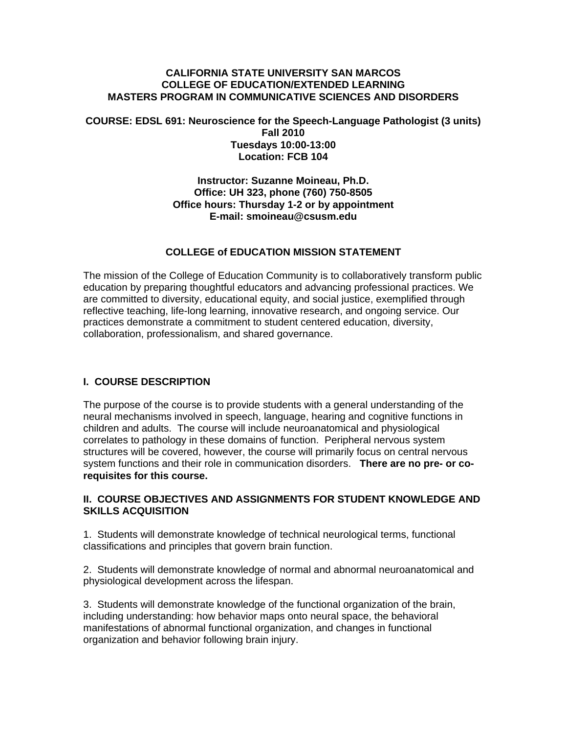#### **CALIFORNIA STATE UNIVERSITY SAN MARCOS COLLEGE OF EDUCATION/EXTENDED LEARNING MASTERS PROGRAM IN COMMUNICATIVE SCIENCES AND DISORDERS**

#### **COURSE: EDSL 691: Neuroscience for the Speech-Language Pathologist (3 units) Fall 2010 Tuesdays 10:00-13:00 Location: FCB 104**

#### **Instructor: Suzanne Moineau, Ph.D. Office: UH 323, phone (760) 750-8505 Office hours: Thursday 1-2 or by appointment E-mail: smoineau@csusm.edu**

#### **COLLEGE of EDUCATION MISSION STATEMENT**

The mission of the College of Education Community is to collaboratively transform public education by preparing thoughtful educators and advancing professional practices. We are committed to diversity, educational equity, and social justice, exemplified through reflective teaching, life-long learning, innovative research, and ongoing service. Our practices demonstrate a commitment to student centered education, diversity, collaboration, professionalism, and shared governance.

#### **I. COURSE DESCRIPTION**

The purpose of the course is to provide students with a general understanding of the neural mechanisms involved in speech, language, hearing and cognitive functions in children and adults. The course will include neuroanatomical and physiological correlates to pathology in these domains of function. Peripheral nervous system structures will be covered, however, the course will primarily focus on central nervous system functions and their role in communication disorders. **There are no pre- or corequisites for this course.** 

#### **II. COURSE OBJECTIVES AND ASSIGNMENTS FOR STUDENT KNOWLEDGE AND SKILLS ACQUISITION**

1. Students will demonstrate knowledge of technical neurological terms, functional classifications and principles that govern brain function.

2. Students will demonstrate knowledge of normal and abnormal neuroanatomical and physiological development across the lifespan.

3. Students will demonstrate knowledge of the functional organization of the brain, including understanding: how behavior maps onto neural space, the behavioral manifestations of abnormal functional organization, and changes in functional organization and behavior following brain injury.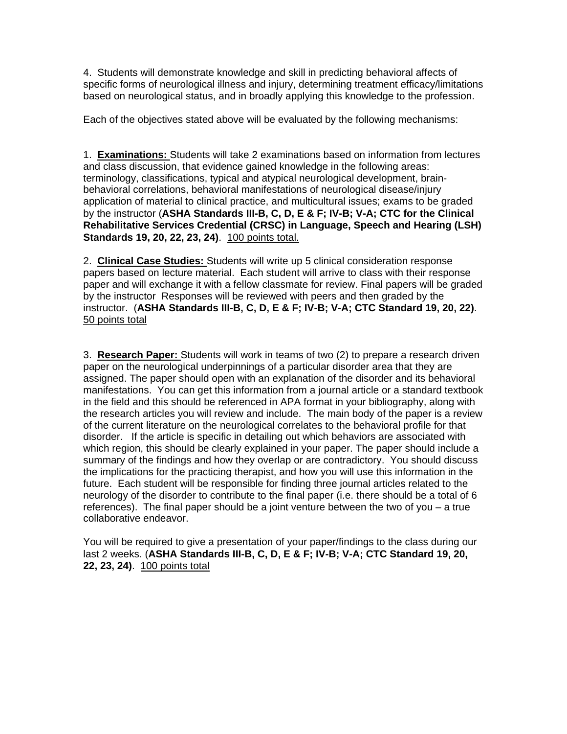4. Students will demonstrate knowledge and skill in predicting behavioral affects of specific forms of neurological illness and injury, determining treatment efficacy/limitations based on neurological status, and in broadly applying this knowledge to the profession.

Each of the objectives stated above will be evaluated by the following mechanisms:

1. **Examinations:** Students will take 2 examinations based on information from lectures and class discussion, that evidence gained knowledge in the following areas: terminology, classifications, typical and atypical neurological development, brainbehavioral correlations, behavioral manifestations of neurological disease/injury application of material to clinical practice, and multicultural issues; exams to be graded by the instructor (**ASHA Standards III-B, C, D, E & F; IV-B; V-A; CTC for the Clinical Rehabilitative Services Credential (CRSC) in Language, Speech and Hearing (LSH) Standards 19, 20, 22, 23, 24)**. 100 points total.

2. **Clinical Case Studies:** Students will write up 5 clinical consideration response papers based on lecture material. Each student will arrive to class with their response paper and will exchange it with a fellow classmate for review. Final papers will be graded by the instructor Responses will be reviewed with peers and then graded by the instructor. (**ASHA Standards III-B, C, D, E & F; IV-B; V-A; CTC Standard 19, 20, 22)**. 50 points total

3. **Research Paper:** Students will work in teams of two (2) to prepare a research driven paper on the neurological underpinnings of a particular disorder area that they are assigned. The paper should open with an explanation of the disorder and its behavioral manifestations. You can get this information from a journal article or a standard textbook in the field and this should be referenced in APA format in your bibliography, along with the research articles you will review and include. The main body of the paper is a review of the current literature on the neurological correlates to the behavioral profile for that disorder. If the article is specific in detailing out which behaviors are associated with which region, this should be clearly explained in your paper. The paper should include a summary of the findings and how they overlap or are contradictory. You should discuss the implications for the practicing therapist, and how you will use this information in the future. Each student will be responsible for finding three journal articles related to the neurology of the disorder to contribute to the final paper (i.e. there should be a total of 6 references). The final paper should be a joint venture between the two of you – a true collaborative endeavor.

You will be required to give a presentation of your paper/findings to the class during our last 2 weeks. (**ASHA Standards III-B, C, D, E & F; IV-B; V-A; CTC Standard 19, 20, 22, 23, 24)**. 100 points total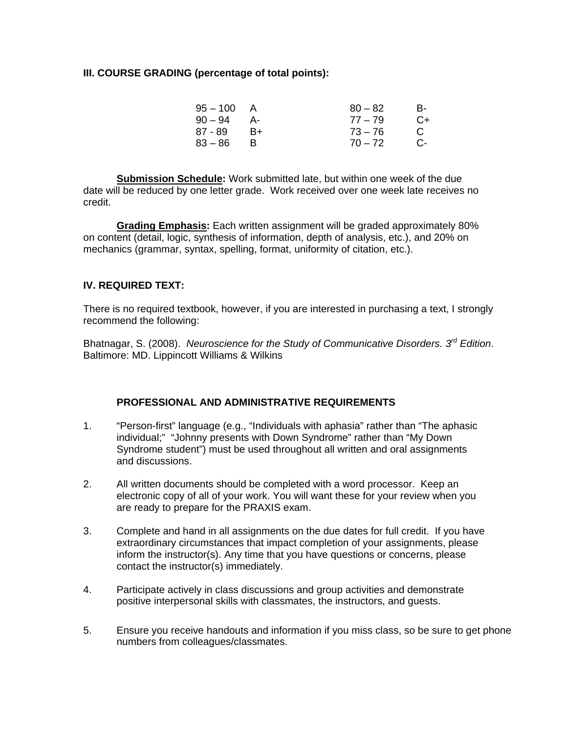#### **III. COURSE GRADING (percentage of total points):**

| $95 - 100$ | A    | $80 - 82$ | в-   |
|------------|------|-----------|------|
| $90 - 94$  | - A  | $77 - 79$ | $C+$ |
| 87 - 89    | $B+$ | $73 - 76$ | C    |
| $83 - 86$  |      | $70 - 72$ | C-   |

**Submission Schedule:** Work submitted late, but within one week of the due date will be reduced by one letter grade. Work received over one week late receives no credit.

 mechanics (grammar, syntax, spelling, format, uniformity of citation, etc.).  **Grading Emphasis:** Each written assignment will be graded approximately 80% on content (detail, logic, synthesis of information, depth of analysis, etc.), and 20% on

### **IV. REQUIRED TEXT:**

There is no required textbook, however, if you are interested in purchasing a text, I strongly recommend the following:

Bhatnagar, S. (2008). *Neuroscience for the Study of Communicative Disorders. 3rd Edition*. Baltimore: MD. Lippincott Williams & Wilkins

### **PROFESSIONAL AND ADMINISTRATIVE REQUIREMENTS**

- 1. "Person-first" language (e.g., "Individuals with aphasia" rather than "The aphasic individual;" "Johnny presents with Down Syndrome" rather than "My Down Syndrome student") must be used throughout all written and oral assignments and discussions.
- 2. All written documents should be completed with a word processor. Keep an electronic copy of all of your work. You will want these for your review when you are ready to prepare for the PRAXIS exam.
- 3. Complete and hand in all assignments on the due dates for full credit. If you have extraordinary circumstances that impact completion of your assignments, please inform the instructor(s). Any time that you have questions or concerns, please contact the instructor(s) immediately.
- 4. Participate actively in class discussions and group activities and demonstrate positive interpersonal skills with classmates, the instructors, and guests.
- 5. Ensure you receive handouts and information if you miss class, so be sure to get phone numbers from colleagues/classmates.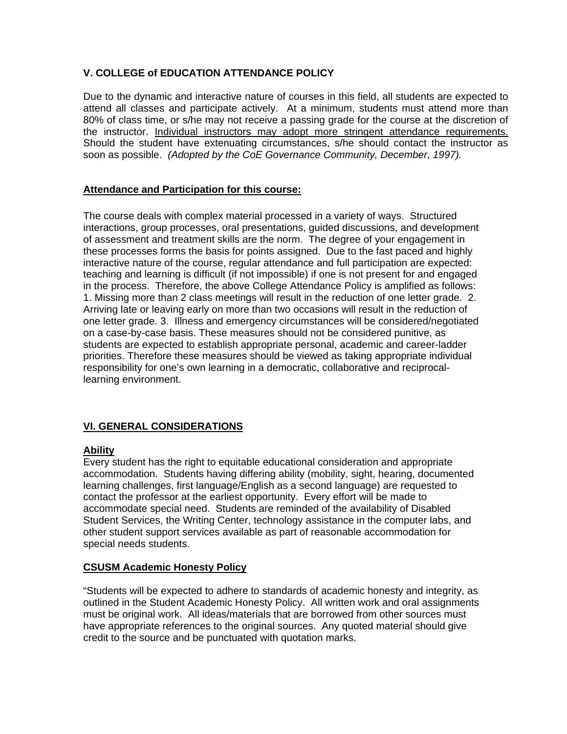## **V. COLLEGE of EDUCATION ATTENDANCE POLICY**

the instructor. Individual instructors may adopt more stringent attendance requirements. Due to the dynamic and interactive nature of courses in this field, all students are expected to attend all classes and participate actively. At a minimum, students must attend more than 80% of class time, or s/he may not receive a passing grade for the course at the discretion of Should the student have extenuating circumstances, s/he should contact the instructor as soon as possible. *(Adopted by the CoE Governance Community, December, 1997).* 

#### **Attendance and Participation for this course:**

The course deals with complex material processed in a variety of ways. Structured interactions, group processes, oral presentations, guided discussions, and development of assessment and treatment skills are the norm. The degree of your engagement in these processes forms the basis for points assigned. Due to the fast paced and highly interactive nature of the course, regular attendance and full participation are expected: teaching and learning is difficult (if not impossible) if one is not present for and engaged in the process. Therefore, the above College Attendance Policy is amplified as follows: 1. Missing more than 2 class meetings will result in the reduction of one letter grade. 2. Arriving late or leaving early on more than two occasions will result in the reduction of one letter grade. 3. Illness and emergency circumstances will be considered/negotiated on a case-by-case basis. These measures should not be considered punitive, as students are expected to establish appropriate personal, academic and career-ladder priorities. Therefore these measures should be viewed as taking appropriate individual responsibility for one's own learning in a democratic, collaborative and reciprocallearning environment.

### **VI. GENERAL CONSIDERATIONS**

### **Ability**

Every student has the right to equitable educational consideration and appropriate accommodation. Students having differing ability (mobility, sight, hearing, documented learning challenges, first language/English as a second language) are requested to contact the professor at the earliest opportunity. Every effort will be made to accommodate special need. Students are reminded of the availability of Disabled Student Services, the Writing Center, technology assistance in the computer labs, and other student support services available as part of reasonable accommodation for special needs students.

### **CSUSM Academic Honesty Policy**

"Students will be expected to adhere to standards of academic honesty and integrity, as outlined in the Student Academic Honesty Policy. All written work and oral assignments must be original work. All ideas/materials that are borrowed from other sources must have appropriate references to the original sources. Any quoted material should give credit to the source and be punctuated with quotation marks.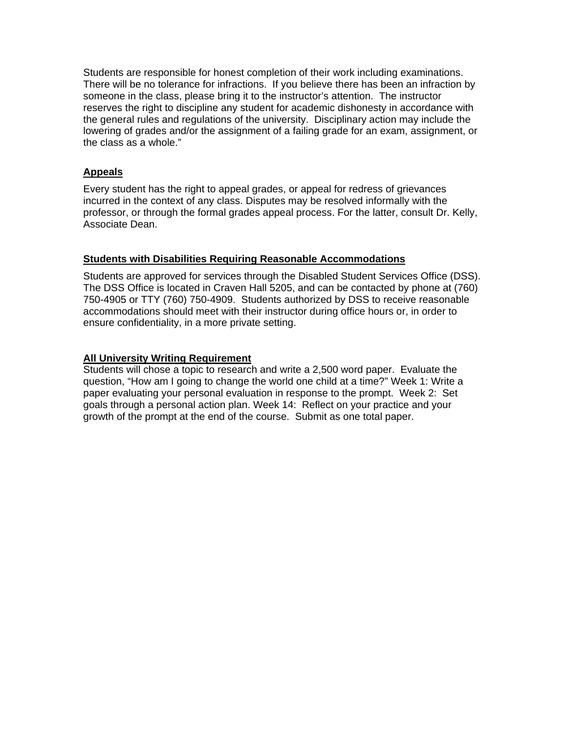Students are responsible for honest completion of their work including examinations. There will be no tolerance for infractions. If you believe there has been an infraction by someone in the class, please bring it to the instructor's attention. The instructor reserves the right to discipline any student for academic dishonesty in accordance with the general rules and regulations of the university. Disciplinary action may include the lowering of grades and/or the assignment of a failing grade for an exam, assignment, or the class as a whole."

### **Appeals**

Every student has the right to appeal grades, or appeal for redress of grievances incurred in the context of any class. Disputes may be resolved informally with the professor, or through the formal grades appeal process. For the latter, consult Dr. Kelly, Associate Dean.

#### **Students with Disabilities Requiring Reasonable Accommodations**

Students are approved for services through the Disabled Student Services Office (DSS). The DSS Office is located in Craven Hall 5205, and can be contacted by phone at (760) 750-4905 or TTY (760) 750-4909. Students authorized by DSS to receive reasonable accommodations should meet with their instructor during office hours or, in order to ensure confidentiality, in a more private setting.

#### **All University Writing Requirement**

Students will chose a topic to research and write a 2,500 word paper. Evaluate the question, "How am I going to change the world one child at a time?" Week 1: Write a paper evaluating your personal evaluation in response to the prompt. Week 2: Set goals through a personal action plan. Week 14: Reflect on your practice and your growth of the prompt at the end of the course. Submit as one total paper.